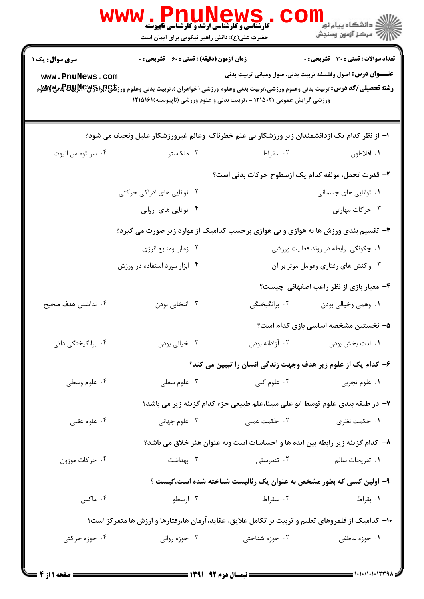|                                          | ، WS کا LAUN CWS کا ایک کا ایک کا ایران<br>کارشناسی و کارشناسی ارشد و کارشناسی ناپیوسته<br>حضرت علی(ع): دانش راهبر نیکویی برای ایمان است                                                                       |                                                                               | ≦ دانشگاه پيام نو <mark>ر</mark><br>أأأأ عركز آزمون وسنجش                                                          |
|------------------------------------------|----------------------------------------------------------------------------------------------------------------------------------------------------------------------------------------------------------------|-------------------------------------------------------------------------------|--------------------------------------------------------------------------------------------------------------------|
| <b>سری سوال:</b> یک ۱<br>www.PnuNews.com | <b>زمان آزمون (دقیقه) : تستی : 60 ٪ تشریحی : 0</b><br><b>رشته تحصیلی/کد درس:</b> تربیت بدنی وعلوم ورزشی،تربیت بدنی وعلوم ورزشی (خواهران )،تربیت بدنی وعلوم ورز <b>شگی(لپرلاپرلاپرلاپرلاپرلاپرلاپرلاپر</b><br>م | ورزشی گرایش عمومی ۱۲۱۵۰۲۱ - ،تربیت بدنی و علوم ورزشی (ناپیوسته)۱۲۱۵۱۶۱        | <b>تعداد سوالات : تستی : 30 ٪ تشریحی : 0</b><br><b>عنـــوان درس:</b> اصول وفلسفه تربیت بدنی،اصول ومبانی تربیت بدنی |
|                                          | ا– از نظر کدام یک ازدانشمندان زیر ورزشکار بی علم خطرناک وعالم غیرورزشکار علیل ونحیف می شود؟                                                                                                                    |                                                                               |                                                                                                                    |
| ۰۴ سر توماس اليوت                        | ۰۳ ملکاستر                                                                                                                                                                                                     | ۰۲ سقراط                                                                      | ٠١. افلاطون                                                                                                        |
|                                          |                                                                                                                                                                                                                | ۲– قدرت تحمل، مولفه کدام یک ازسطوح حرکات بدنی است؟                            |                                                                                                                    |
|                                          | ۰۲ توانایی های ادراکی حرکتی                                                                                                                                                                                    |                                                                               | ۰۱ توانایی های جسمانی                                                                                              |
|                                          | ۰۴ توانایی های روانی                                                                                                                                                                                           |                                                                               | ۰۳ حرکات مهارتی                                                                                                    |
|                                          | ۳- تقسیم بندی ورزش ها به هوازی و بی هوازی برحسب کدامیک از موارد زیر صورت می گیرد؟                                                                                                                              |                                                                               |                                                                                                                    |
|                                          | ۰۲ زمان ومنابع انرژي                                                                                                                                                                                           |                                                                               | ۰۱ چگونگی رابطه در روند فعالیت ورزشی                                                                               |
|                                          | ۰۴ ابزار مورد استفاده در ورزش                                                                                                                                                                                  |                                                                               | ۰۳ واکنش های رفتاری وعوامل موثر بر آن                                                                              |
|                                          |                                                                                                                                                                                                                |                                                                               | ۴- معیار بازی از نظر راغب اصفهانی چیست؟                                                                            |
| ۰۴ نداشتن هدف صحیح                       | ۰۳ انتخابی بودن                                                                                                                                                                                                | ۰۲ برانگیختگی                                                                 | ٠١. وهمي وخيالي بودن                                                                                               |
|                                          |                                                                                                                                                                                                                |                                                                               | ۵– نخستین مشخصه اساسی بازی کدام است؟                                                                               |
| ۰۴ برانگیختگی ذاتی                       | ۰۳ خیالي بودن                                                                                                                                                                                                  | ۰۲ آزادانه بودن                                                               | ٠١. لذت بخش بودن                                                                                                   |
|                                          |                                                                                                                                                                                                                | ۶– کدام یک از علوم زیر هدف وجهت زندگی انسان را تبیین می کند؟                  |                                                                                                                    |
| ۰۴ علوم وسطى                             | علوم سفلى $\cdot$ ۳ .                                                                                                                                                                                          | ۰۲ علوم کلی                                                                   | ۰۱ علوم تجربي                                                                                                      |
|                                          |                                                                                                                                                                                                                | ۷– در طبقه بندی علوم توسط ابو علی سینا،علم طبیعی جزء کدام گزینه زیر می باشد؟  |                                                                                                                    |
| ۰۴ علوم عقلی                             | ۰ <sup>۳</sup> علوم جهانی                                                                                                                                                                                      | ۰۲ حکمت عملی                                                                  | ٠١ حكمت نظري                                                                                                       |
|                                          |                                                                                                                                                                                                                | ۸– کدام گزینه زیر رابطه بین ایده ها و احساسات است وبه عنوان هنر خلاق می باشد؟ |                                                                                                                    |
| ۰۴ حرکات موزون                           | بهداشت $\cdot$                                                                                                                                                                                                 | ۰۲ تندرستی                                                                    | ۰۱ تفریحات سالم                                                                                                    |
|                                          |                                                                                                                                                                                                                | ۹– اولین کسی که بطور مشخص به عنوان یک رئالیست شناخته شده است،کیست ؟           |                                                                                                                    |
| ۰۴ ماکس                                  | ۰۳ ارسطو                                                                                                                                                                                                       | ۰۲ سقراط                                                                      | ۰۱ بقراط                                                                                                           |
|                                          | ۱۰− کدامیک از قلمروهای تعلیم و تربیت بر تکامل علایق، عقاید،آرمان ها،رفتارها و ارزش ها متمرکز است؟                                                                                                              |                                                                               |                                                                                                                    |
| ۰۴ حوزه حرکتی                            | ۰۳ حوزه روانی                                                                                                                                                                                                  | ۰۲ حوزه شناختی                                                                | ۰۱ حوزه عاطفی                                                                                                      |
|                                          |                                                                                                                                                                                                                |                                                                               |                                                                                                                    |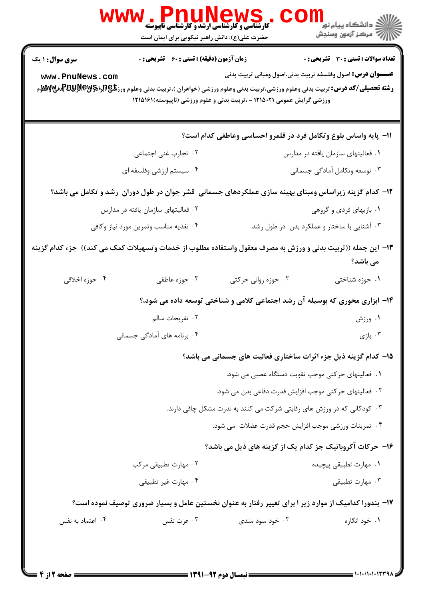|                                                                                                                                                                             | <b>، کے W کے L L L L L L کے ۔</b><br>کارشناسی و کارشناسی ارشد و کارشناسی ناپیوسته<br>حضرت علی(ع): دانش راهبر نیکویی برای ایمان است |                                             |                                                                    |  |  |
|-----------------------------------------------------------------------------------------------------------------------------------------------------------------------------|------------------------------------------------------------------------------------------------------------------------------------|---------------------------------------------|--------------------------------------------------------------------|--|--|
| سری سوال : ۱ یک                                                                                                                                                             | <b>زمان آزمون (دقیقه) : تستی : 60 ٪ تشریحی : 0</b>                                                                                 |                                             | <b>تعداد سوالات : تستي : 30 ٪ تشريحي : 0</b>                       |  |  |
| www.PnuNews.com<br><b>رشته تحصیلی/کد درس:</b> تربیت بدنی وعلوم ورزشی،تربیت بدنی وعلوم ورزشی (خواهران )،تربیت بدنی وعلوم ورز <b>شگی(لپرلاپرلاپرلاپرلاپرلاپرلاپرلاپر</b><br>م | ورزشی گرایش عمومی ۱۲۱۵۰۲۱ - ،تربیت بدنی و علوم ورزشی (ناپیوسته)۱۲۱۵۱۶۱                                                             |                                             | <b>عنـــوان درس:</b> اصول وفلسفه تربیت بدنی،اصول ومبانی تربیت بدنی |  |  |
|                                                                                                                                                                             |                                                                                                                                    |                                             | 11- پایه واساس بلوغ وتکامل فرد در قلمرو احساسی وعاطفی کدام است؟    |  |  |
| ۰۲ تجارب غنی اجتماعی                                                                                                                                                        |                                                                                                                                    |                                             | ۰۱ فعالیتهای سازمان یافته در مدارس                                 |  |  |
| ۰۴ سیستم ارزشی وفلسفه ای                                                                                                                                                    |                                                                                                                                    |                                             | ۰۳ توسعه وتکامل آمادگی جسمانی                                      |  |  |
| ۱۲– کدام گزینه زیراساس ومبنای بهینه سازی عملکردهای جسمانی قشر جوان در طول دوران رشد و تکامل می باشد؟                                                                        |                                                                                                                                    |                                             |                                                                    |  |  |
| ۰۲ فعالیتهای سازمان یافته در مدارس                                                                                                                                          |                                                                                                                                    | ۰۱ بازیهای فردی و گروهی                     |                                                                    |  |  |
| ۰۴ تغذیه مناسب وتمرین مورد نیاز وکافی                                                                                                                                       |                                                                                                                                    | ۰۳ آشنایی با ساختار و عملکرد بدن در طول رشد |                                                                    |  |  |
| ۱۳– این جمله ((تربیت بدنی و ورزش به مصرف معقول واستفاده مطلوب از خدمات وتسهیلات کمک می کند))  جزء کدام گزینه                                                                |                                                                                                                                    |                                             | می باشد؟                                                           |  |  |
| ۰۴ حوزه اخلاقي<br>۰۳ حوزه عاطفی                                                                                                                                             |                                                                                                                                    | ۰۲ حوزه رواني حرکتي                         | ۰۱ حوزه شناختی                                                     |  |  |
|                                                                                                                                                                             | ۱۴– ابزاری محوری که بوسیله آن رشد اجتماعی کلامی و شناختی توسعه داده می شود،؟                                                       |                                             |                                                                    |  |  |
| ۰۲ تفریحات سالم                                                                                                                                                             |                                                                                                                                    |                                             | ۰۱ ورزش                                                            |  |  |
| ۰۴ برنامه های آمادگی جسمانی                                                                                                                                                 |                                                                                                                                    |                                             | بازی $\cdot$ ۳                                                     |  |  |
|                                                                                                                                                                             | 1۵- کدام گزینه ذیل جزء اثرات ساختاری فعالیت های جسمانی می باشد؟                                                                    |                                             |                                                                    |  |  |
|                                                                                                                                                                             | ۰۱ فعالیتهای حرکتی موجب تقویت دستگاه عصبی می شود.                                                                                  |                                             |                                                                    |  |  |
|                                                                                                                                                                             |                                                                                                                                    |                                             | ۰۲ فعالیتهای حرکتی موجب افزایش قدرت دفاعی بدن می شود.              |  |  |
|                                                                                                                                                                             | ۰۳ کودکانی که در ورزش های رقابتی شرکت می کنند به ندرت مشکل چاقی دارند.                                                             |                                             |                                                                    |  |  |
|                                                                                                                                                                             |                                                                                                                                    |                                             | ۰۴ تمرینات ورزشی موجب افزایش حجم قدرت عضلات  می شود.               |  |  |
|                                                                                                                                                                             |                                                                                                                                    |                                             | ۱۶- حرکات آکروباتیک جز کدام یک از گزینه های ذیل می باشد؟           |  |  |
| ۰۲ مهارت تطبیقی مرکب                                                                                                                                                        |                                                                                                                                    |                                             | ۰۱ مهارت تطبيقي پيچيده                                             |  |  |
| ۰۴ مهارت غیر تطبیقی                                                                                                                                                         |                                                                                                                                    | ۰۳ مهارت تطبيقي                             |                                                                    |  |  |
| ۱۷– بندورا کدامیک از موارد زیر ا برای تغییر رفتار به عنوان نخستین عامل و بسیار ضروری توصیف نموده است؟                                                                       |                                                                                                                                    |                                             |                                                                    |  |  |
| ۰۴ اعتماد به نفس                                                                                                                                                            | ۰۳ عزت نفس                                                                                                                         | ۰۲ خود سود مندی                             | ۰۱ خود انگاره                                                      |  |  |
|                                                                                                                                                                             |                                                                                                                                    |                                             |                                                                    |  |  |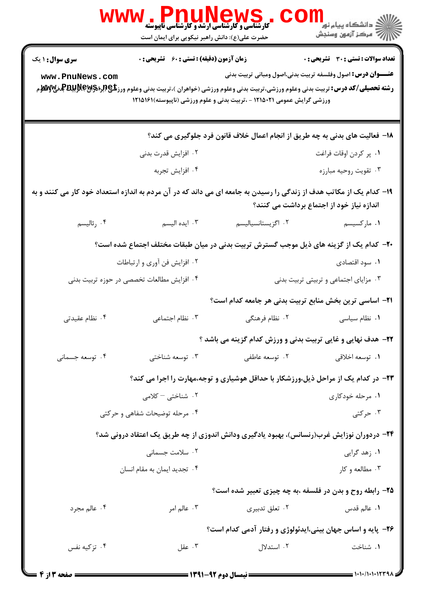|                                                                                                                     | ، IP MUNEWS کا استفادهای استفادهای استفادها<br>کارشناسی و کارشناسی ارشد و کارشناسی تاپیوسته<br>حضرت علی(ع): دانش راهبر نیکویی برای ایمان است                                                                                                                                                             |                                                                                        | الاد دانشگاه پيام نور ■<br>الا                                                                                          |  |
|---------------------------------------------------------------------------------------------------------------------|----------------------------------------------------------------------------------------------------------------------------------------------------------------------------------------------------------------------------------------------------------------------------------------------------------|----------------------------------------------------------------------------------------|-------------------------------------------------------------------------------------------------------------------------|--|
| <b>سری سوال : ۱ یک</b>                                                                                              | <b>زمان آزمون (دقیقه) : تستی : 60 ٪ تشریحی : 0</b>                                                                                                                                                                                                                                                       |                                                                                        | <b>تعداد سوالات : تستي : 30 ٪ تشريحي : 0</b>                                                                            |  |
| www.PnuNews.com                                                                                                     | <b>عنـــوان درس:</b> اصول وفلسفه تربیت بدنی،اصول ومبانی تربیت بدنی<br><b>رشته تحصیلی/کد درس:</b> تربیت بدنی وعلوم ورزشی،تربیت بدنی وعلوم ورزشی (خواهران )،تربیت بدنی وعلوم ورز <b>شگی(لپرلاپرلاپرلاپرلاپرلاپرلاپرلاپر</b><br>م<br>ورزشی گرایش عمومی ۱۲۱۵۰۲۱ - ،تربیت بدنی و علوم ورزشی (ناپیوسته)۱۲۱۵۱۶۱ |                                                                                        |                                                                                                                         |  |
|                                                                                                                     |                                                                                                                                                                                                                                                                                                          | ۱۸– فعالیت های بدنی به چه طریق از انجام اعمال خلاف قانون فرد جلوگیری می کند؟           |                                                                                                                         |  |
|                                                                                                                     | ۰۲ افزایش قدرت بدنی                                                                                                                                                                                                                                                                                      |                                                                                        | ٠١. پر كردن اوقات فراغت                                                                                                 |  |
|                                                                                                                     | ۰۴ افزايش تجربه                                                                                                                                                                                                                                                                                          |                                                                                        | ۰۳ تقويت روحيه مبارزه                                                                                                   |  |
| ۱۹– کدام یک از مکاتب هدف از زندگی را رسیدن به جامعه ای می داند که در آن مردم به اندازه استعداد خود کار می کنند و به |                                                                                                                                                                                                                                                                                                          |                                                                                        | اندازه نیاز خود از اجتماع برداشت می کنند؟                                                                               |  |
| ۰۴ رئاليسم                                                                                                          | ۰۳ ایده الیسم                                                                                                                                                                                                                                                                                            | ٠٢ اگزيستانسياليسم                                                                     | ۰۱ مارکسیسم                                                                                                             |  |
|                                                                                                                     |                                                                                                                                                                                                                                                                                                          | +۲- کدام یک از گزینه های ذیل موجب گسترش تربیت بدنی در میان طبقات مختلف اجتماع شده است؟ |                                                                                                                         |  |
|                                                                                                                     | ۰۲ افزایش فن آوری و ارتباطات                                                                                                                                                                                                                                                                             |                                                                                        | ۰۱ سود اقتصادی                                                                                                          |  |
|                                                                                                                     | ۰۴ افزایش مطالعات تخصصی در حوزه تربیت بدنی                                                                                                                                                                                                                                                               |                                                                                        | ۰۳ مزایای اجتماعی و تربیتی تربیت بدنی                                                                                   |  |
|                                                                                                                     |                                                                                                                                                                                                                                                                                                          | <b>۲۱</b> – اساسی ترین بخش منابع تربیت بدنی هر جامعه کدام است؟                         |                                                                                                                         |  |
| ۰۴ نظام عقیدتی                                                                                                      | ۰۳ نظام اجتماعی                                                                                                                                                                                                                                                                                          | ۰۲ نظام فرهنگی                                                                         | ٠١ نظام سياسى                                                                                                           |  |
|                                                                                                                     |                                                                                                                                                                                                                                                                                                          | <b>۲۲- هدف نهایی و غایی تربیت بدنی و ورزش کدام گزینه می باشد</b> ؟                     |                                                                                                                         |  |
| ۰۴ توسعه جسمانی                                                                                                     | ۰۳ توسعه شناختی                                                                                                                                                                                                                                                                                          | ۰۲ توسعه عاطفی                                                                         | ٠١. توسعه اخلاقى                                                                                                        |  |
|                                                                                                                     |                                                                                                                                                                                                                                                                                                          |                                                                                        | <b>۲۳</b> - در کدام یک از مراحل ذیل،ورزشکار با حداقل هوشیاری و توجه،مهارت را اجرا می کند؟                               |  |
|                                                                                                                     | ۰۲ شناختی <sup>–</sup> کلامی                                                                                                                                                                                                                                                                             |                                                                                        | ۰۱ مرحله خودکاری                                                                                                        |  |
|                                                                                                                     | ۰۴ مرحله توضیحات شفاهی و حرکتی                                                                                                                                                                                                                                                                           |                                                                                        | ۰۳ حرکتی                                                                                                                |  |
|                                                                                                                     |                                                                                                                                                                                                                                                                                                          |                                                                                        | ۲۴- دردوران نوزایش غرب(رنسانس)، بهبود یادگیری ودانش اندوزی از چه طریق یک اعتقاد درونی شد؟                               |  |
|                                                                                                                     | ۰۲ سلامت جسمانی                                                                                                                                                                                                                                                                                          |                                                                                        | ۰۱ زهد گرایی                                                                                                            |  |
|                                                                                                                     | ۰۴ تجدید ایمان به مقام انسان                                                                                                                                                                                                                                                                             |                                                                                        | ۰۳ مطالعه و کار                                                                                                         |  |
|                                                                                                                     |                                                                                                                                                                                                                                                                                                          |                                                                                        | ۲۵- رابطه روح و بدن در فلسفه ،به چه چیزی تعبیر شده است؟                                                                 |  |
| ۰۴ عالم مجرد                                                                                                        | ۰۳ عالم امر                                                                                                                                                                                                                                                                                              | ۰۲ تعلق تدبیری                                                                         | ٠١. عالم قدس                                                                                                            |  |
|                                                                                                                     |                                                                                                                                                                                                                                                                                                          |                                                                                        | ۲۶- پایه و اساس جهان بینی،ایدئولوژی و رفتار آدمی کدام است؟                                                              |  |
| ۰۴ تزکیه نفس                                                                                                        | ۰۳ عقل                                                                                                                                                                                                                                                                                                   | ۰۲ استدلال                                                                             | ۰۱ شناخت                                                                                                                |  |
| = صفحه 3 از 4                                                                                                       |                                                                                                                                                                                                                                                                                                          |                                                                                        | $\longrightarrow$ $\longrightarrow$ $\longmapsto$ $\longmapsto$ $\longmapsto$ $\longmapsto$ $\longmapsto$ $\longmapsto$ |  |